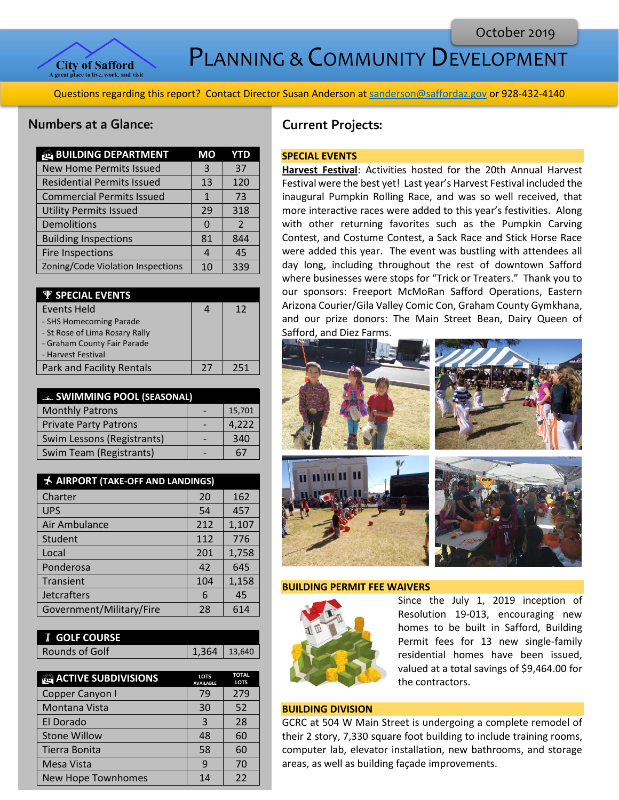

# PLANNING & COMMUNITY DEVELOPMENT

Questions regarding this report? Contact Director Susan Anderson a[t sanderson@saffordaz.gov](mailto:sanderson@saffordaz.gov) or 928-432-4140

# Numbers at a Glance:

| <b>BUILDING DEPARTMENT</b>        | МO             | YTD            |
|-----------------------------------|----------------|----------------|
| <b>New Home Permits Issued</b>    | 3              | 37             |
| <b>Residential Permits Issued</b> | 13             | 120            |
| <b>Commercial Permits Issued</b>  | $\mathbf{1}$   | 73             |
| <b>Utility Permits Issued</b>     | 29             | 318            |
| Demolitions                       | <sup>0</sup>   | $\overline{2}$ |
| <b>Building Inspections</b>       | 81             | 844            |
| <b>Fire Inspections</b>           | $\overline{4}$ | 45             |
| Zoning/Code Violation Inspections | 10             | 339            |
|                                   |                |                |

| $\Psi$ SPECIAL EVENTS            |    |     |
|----------------------------------|----|-----|
| Events Held                      |    | 12  |
| - SHS Homecoming Parade          |    |     |
| - St Rose of Lima Rosary Rally   |    |     |
| - Graham County Fair Parade      |    |     |
| - Harvest Festival               |    |     |
| <b>Park and Facility Rentals</b> | 27 | 251 |

| <b>EL SWIMMING POOL (SEASONAL)</b> |  |        |
|------------------------------------|--|--------|
| <b>Monthly Patrons</b>             |  | 15,701 |
| <b>Private Party Patrons</b>       |  | 4,222  |
| Swim Lessons (Registrants)         |  | 340    |
| Swim Team (Registrants)            |  | 67     |

| AIRPORT (TAKE-OFF AND LANDINGS) |     |       |
|---------------------------------|-----|-------|
| Charter                         | 20  | 162   |
| <b>UPS</b>                      | 54  | 457   |
| Air Ambulance                   | 212 | 1,107 |
| Student                         | 112 | 776   |
| Local                           | 201 | 1,758 |
| Ponderosa                       | 42  | 645   |
| Transient                       | 104 | 1,158 |
| Jetcrafters                     | 6   | 45    |
| Government/Military/Fire        | 28  | 614   |

| <b>f</b> GOLF COURSE |                |  |
|----------------------|----------------|--|
| Rounds of Golf       | $1,364$ 13,640 |  |

| <b>ACTIVE SUBDIVISIONS</b> | <b>LOTS</b><br><b>AVAILABLE</b> | <b>TOTAL</b><br><b>LOTS</b> |
|----------------------------|---------------------------------|-----------------------------|
| Copper Canyon I            | 79                              | 279                         |
| Montana Vista              | 30                              | 52                          |
| El Dorado                  | 3                               | 28                          |
| <b>Stone Willow</b>        | 48                              | 60                          |
| Tierra Bonita              | 58                              | 60                          |
| <b>Mesa Vista</b>          | q                               | 70                          |
| <b>New Hope Townhomes</b>  | 14                              | 22                          |

# Current Projects:

### **SPECIAL EVENTS**

**Harvest Festival**: Activities hosted for the 20th Annual Harvest Festival were the best yet! Last year's Harvest Festival included the inaugural Pumpkin Rolling Race, and was so well received, that more interactive races were added to this year's festivities. Along with other returning favorites such as the Pumpkin Carving Contest, and Costume Contest, a Sack Race and Stick Horse Race were added this year. The event was bustling with attendees all day long, including throughout the rest of downtown Safford where businesses were stops for "Trick or Treaters." Thank you to our sponsors: Freeport McMoRan Safford Operations, Eastern Arizona Courier/Gila Valley Comic Con, Graham County Gymkhana, and our prize donors: The Main Street Bean, Dairy Queen of Safford, and Diez Farms.



#### **BUILDING PERMIT FEE WAIVERS**



Since the July 1, 2019 inception of Resolution 19-013, encouraging new homes to be built in Safford, Building Permit fees for 13 new single-family residential homes have been issued, valued at a total savings of \$9,464.00 for the contractors.

# **BUILDING DIVISION**

GCRC at 504 W Main Street is undergoing a complete remodel of their 2 story, 7,330 square foot building to include training rooms, computer lab, elevator installation, new bathrooms, and storage areas, as well as building façade improvements.